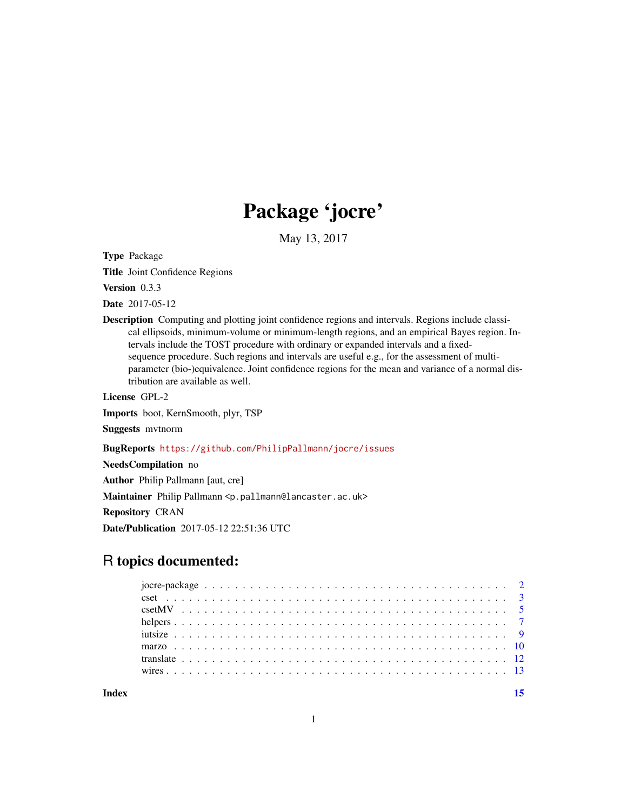## Package 'jocre'

May 13, 2017

Type Package

Title Joint Confidence Regions

Version 0.3.3

Date 2017-05-12

Description Computing and plotting joint confidence regions and intervals. Regions include classical ellipsoids, minimum-volume or minimum-length regions, and an empirical Bayes region. Intervals include the TOST procedure with ordinary or expanded intervals and a fixedsequence procedure. Such regions and intervals are useful e.g., for the assessment of multiparameter (bio-)equivalence. Joint confidence regions for the mean and variance of a normal distribution are available as well.

License GPL-2

Imports boot, KernSmooth, plyr, TSP

Suggests mvtnorm

#### BugReports <https://github.com/PhilipPallmann/jocre/issues>

NeedsCompilation no

Author Philip Pallmann [aut, cre]

Maintainer Philip Pallmann <p.pallmann@lancaster.ac.uk>

Repository CRAN

Date/Publication 2017-05-12 22:51:36 UTC

### R topics documented:

**Index** [15](#page-14-0)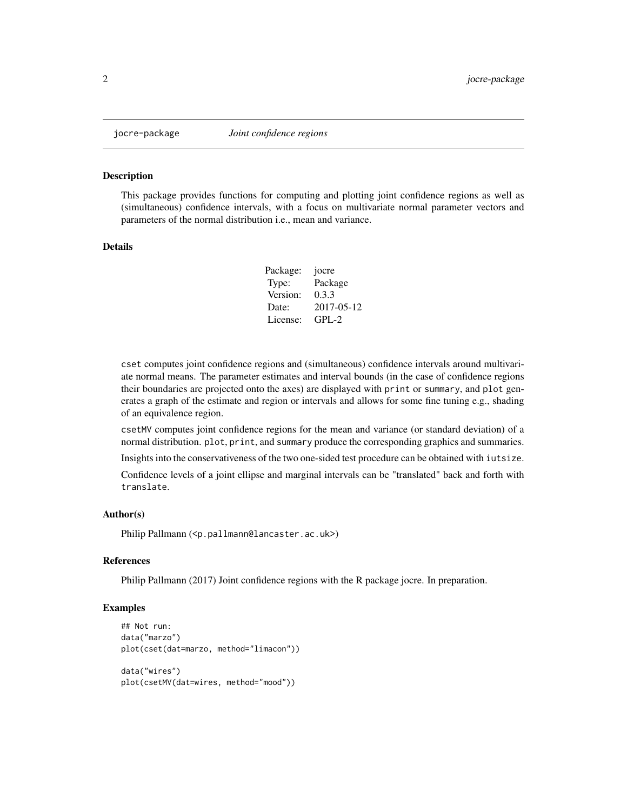<span id="page-1-0"></span>

#### Description

This package provides functions for computing and plotting joint confidence regions as well as (simultaneous) confidence intervals, with a focus on multivariate normal parameter vectors and parameters of the normal distribution i.e., mean and variance.

#### Details

| Package: | jocre      |
|----------|------------|
| Type:    | Package    |
| Version: | 0.3.3      |
| Date:    | 2017-05-12 |
| License: | $GPI - 2$  |

cset computes joint confidence regions and (simultaneous) confidence intervals around multivariate normal means. The parameter estimates and interval bounds (in the case of confidence regions their boundaries are projected onto the axes) are displayed with print or summary, and plot generates a graph of the estimate and region or intervals and allows for some fine tuning e.g., shading of an equivalence region.

csetMV computes joint confidence regions for the mean and variance (or standard deviation) of a normal distribution. plot, print, and summary produce the corresponding graphics and summaries.

Insights into the conservativeness of the two one-sided test procedure can be obtained with iutsize.

Confidence levels of a joint ellipse and marginal intervals can be "translated" back and forth with translate.

#### Author(s)

Philip Pallmann (<p.pallmann@lancaster.ac.uk>)

#### References

Philip Pallmann (2017) Joint confidence regions with the R package jocre. In preparation.

#### Examples

```
## Not run:
data("marzo")
plot(cset(dat=marzo, method="limacon"))
data("wires")
```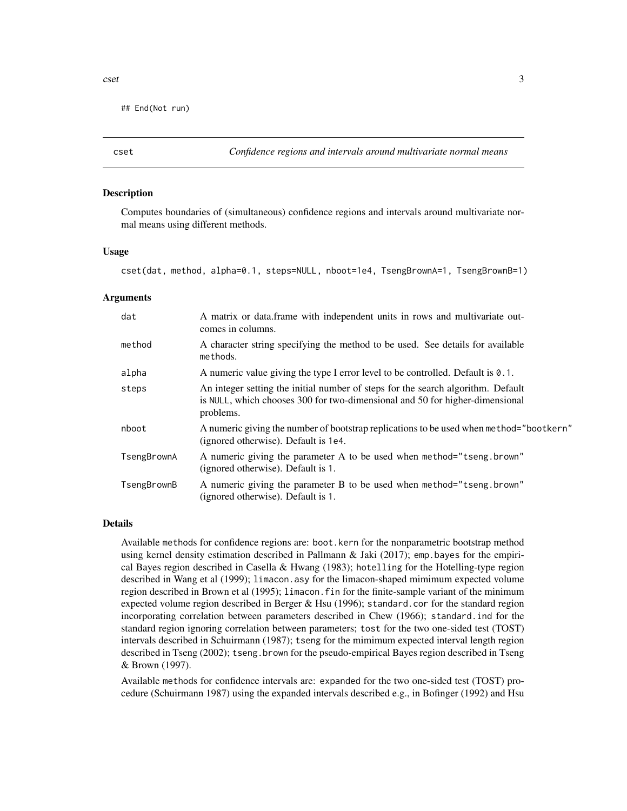<span id="page-2-0"></span>## End(Not run)

<span id="page-2-1"></span>cset *Confidence regions and intervals around multivariate normal means*

#### Description

Computes boundaries of (simultaneous) confidence regions and intervals around multivariate normal means using different methods.

#### Usage

```
cset(dat, method, alpha=0.1, steps=NULL, nboot=1e4, TsengBrownA=1, TsengBrownB=1)
```
#### Arguments

| dat         | A matrix or data.frame with independent units in rows and multivariate out-<br>comes in columns.                                                                              |
|-------------|-------------------------------------------------------------------------------------------------------------------------------------------------------------------------------|
| method      | A character string specifying the method to be used. See details for available<br>methods.                                                                                    |
| alpha       | A numeric value giving the type I error level to be controlled. Default is $\theta$ . 1.                                                                                      |
| steps       | An integer setting the initial number of steps for the search algorithm. Default<br>is NULL, which chooses 300 for two-dimensional and 50 for higher-dimensional<br>problems. |
| nboot       | A numeric giving the number of bootstrap replications to be used when method="bootkern"<br>(ignored otherwise). Default is 1e4.                                               |
| TsengBrownA | A numeric giving the parameter A to be used when method="tseng.brown"<br>(ignored otherwise). Default is 1.                                                                   |
| TsengBrownB | A numeric giving the parameter B to be used when method="tseng.brown"<br>(ignored otherwise). Default is 1.                                                                   |

#### Details

Available methods for confidence regions are: boot.kern for the nonparametric bootstrap method using kernel density estimation described in Pallmann & Jaki (2017); emp.bayes for the empirical Bayes region described in Casella & Hwang (1983); hotelling for the Hotelling-type region described in Wang et al (1999); limacon.asy for the limacon-shaped mimimum expected volume region described in Brown et al (1995); limacon.fin for the finite-sample variant of the minimum expected volume region described in Berger & Hsu (1996); standard.cor for the standard region incorporating correlation between parameters described in Chew (1966); standard.ind for the standard region ignoring correlation between parameters; tost for the two one-sided test (TOST) intervals described in Schuirmann (1987); tseng for the mimimum expected interval length region described in Tseng (2002); tseng.brown for the pseudo-empirical Bayes region described in Tseng & Brown (1997).

Available methods for confidence intervals are: expanded for the two one-sided test (TOST) procedure (Schuirmann 1987) using the expanded intervals described e.g., in Bofinger (1992) and Hsu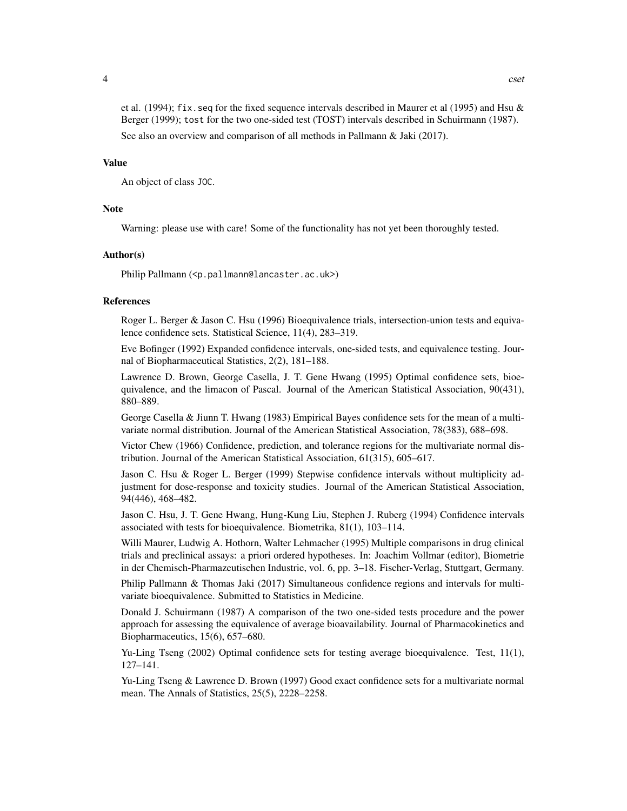et al. (1994); fix.seq for the fixed sequence intervals described in Maurer et al (1995) and Hsu & Berger (1999); tost for the two one-sided test (TOST) intervals described in Schuirmann (1987). See also an overview and comparison of all methods in Pallmann & Jaki (2017).

#### Value

An object of class JOC.

#### **Note**

Warning: please use with care! Some of the functionality has not yet been thoroughly tested.

#### Author(s)

Philip Pallmann (<p.pallmann@lancaster.ac.uk>)

#### References

Roger L. Berger & Jason C. Hsu (1996) Bioequivalence trials, intersection-union tests and equivalence confidence sets. Statistical Science, 11(4), 283–319.

Eve Bofinger (1992) Expanded confidence intervals, one-sided tests, and equivalence testing. Journal of Biopharmaceutical Statistics, 2(2), 181–188.

Lawrence D. Brown, George Casella, J. T. Gene Hwang (1995) Optimal confidence sets, bioequivalence, and the limacon of Pascal. Journal of the American Statistical Association, 90(431), 880–889.

George Casella & Jiunn T. Hwang (1983) Empirical Bayes confidence sets for the mean of a multivariate normal distribution. Journal of the American Statistical Association, 78(383), 688–698.

Victor Chew (1966) Confidence, prediction, and tolerance regions for the multivariate normal distribution. Journal of the American Statistical Association, 61(315), 605–617.

Jason C. Hsu & Roger L. Berger (1999) Stepwise confidence intervals without multiplicity adjustment for dose-response and toxicity studies. Journal of the American Statistical Association, 94(446), 468–482.

Jason C. Hsu, J. T. Gene Hwang, Hung-Kung Liu, Stephen J. Ruberg (1994) Confidence intervals associated with tests for bioequivalence. Biometrika, 81(1), 103–114.

Willi Maurer, Ludwig A. Hothorn, Walter Lehmacher (1995) Multiple comparisons in drug clinical trials and preclinical assays: a priori ordered hypotheses. In: Joachim Vollmar (editor), Biometrie in der Chemisch-Pharmazeutischen Industrie, vol. 6, pp. 3–18. Fischer-Verlag, Stuttgart, Germany.

Philip Pallmann & Thomas Jaki (2017) Simultaneous confidence regions and intervals for multivariate bioequivalence. Submitted to Statistics in Medicine.

Donald J. Schuirmann (1987) A comparison of the two one-sided tests procedure and the power approach for assessing the equivalence of average bioavailability. Journal of Pharmacokinetics and Biopharmaceutics, 15(6), 657–680.

Yu-Ling Tseng (2002) Optimal confidence sets for testing average bioequivalence. Test, 11(1), 127–141.

Yu-Ling Tseng & Lawrence D. Brown (1997) Good exact confidence sets for a multivariate normal mean. The Annals of Statistics, 25(5), 2228–2258.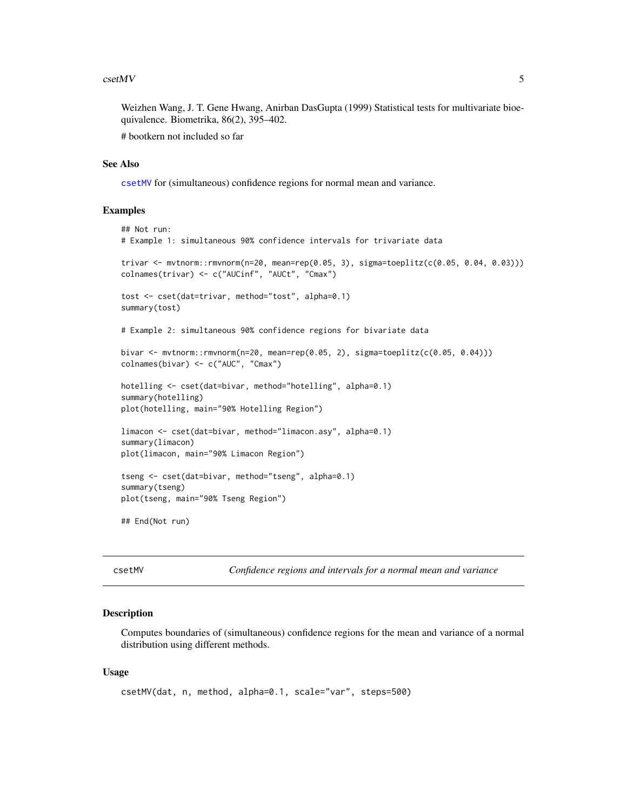#### <span id="page-4-0"></span> $c_{\text{set}MV}$  5

Weizhen Wang, J. T. Gene Hwang, Anirban DasGupta (1999) Statistical tests for multivariate bioequivalence. Biometrika, 86(2), 395–402.

# bootkern not included so far

#### See Also

[csetMV](#page-4-1) for (simultaneous) confidence regions for normal mean and variance.

#### Examples

```
## Not run:
# Example 1: simultaneous 90% confidence intervals for trivariate data
trivar <- mvtnorm::rmvnorm(n=20, mean=rep(0.05, 3), sigma=toeplitz(c(0.05, 0.04, 0.03)))
colnames(trivar) <- c("AUCinf", "AUCt", "Cmax")
tost <- cset(dat=trivar, method="tost", alpha=0.1)
summary(tost)
# Example 2: simultaneous 90% confidence regions for bivariate data
bivar \leq mvtnorm::rmvnorm(n=20, mean=rep(0.05, 2), sigma=toeplitz(c(0.05, 0.04)))
colnames(bivar) <- c("AUC", "Cmax")
hotelling <- cset(dat=bivar, method="hotelling", alpha=0.1)
summary(hotelling)
plot(hotelling, main="90% Hotelling Region")
limacon <- cset(dat=bivar, method="limacon.asy", alpha=0.1)
summary(limacon)
plot(limacon, main="90% Limacon Region")
tseng <- cset(dat=bivar, method="tseng", alpha=0.1)
summary(tseng)
plot(tseng, main="90% Tseng Region")
## End(Not run)
```
<span id="page-4-1"></span>csetMV *Confidence regions and intervals for a normal mean and variance*

#### Description

Computes boundaries of (simultaneous) confidence regions for the mean and variance of a normal distribution using different methods.

#### Usage

```
csetMV(dat, n, method, alpha=0.1, scale="var", steps=500)
```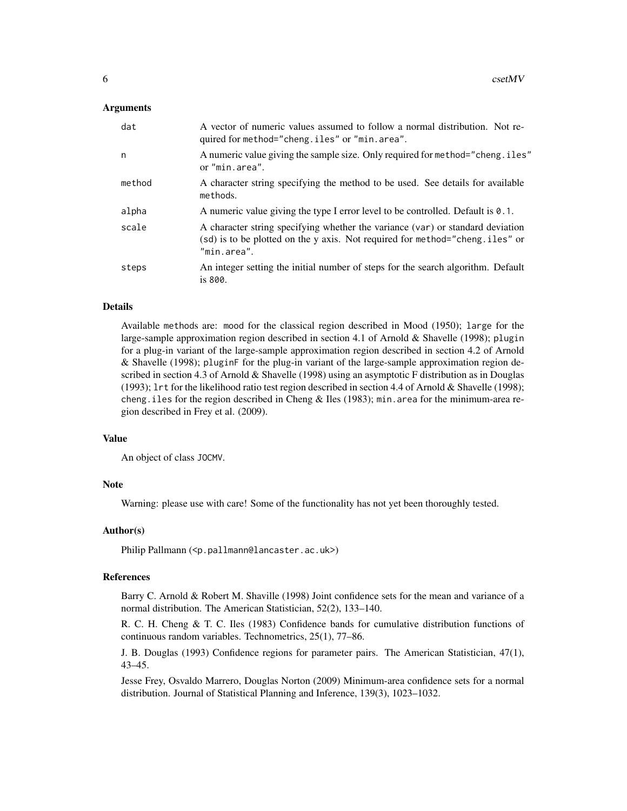#### Arguments

| dat    | A vector of numeric values assumed to follow a normal distribution. Not re-<br>quired for method="cheng.iles" or "min.area".                                                  |
|--------|-------------------------------------------------------------------------------------------------------------------------------------------------------------------------------|
| n      | A numeric value giving the sample size. Only required for method="cheng. iles"<br>or "min.area".                                                                              |
| method | A character string specifying the method to be used. See details for available<br>methods.                                                                                    |
| alpha  | A numeric value giving the type I error level to be controlled. Default is 0.1.                                                                                               |
| scale  | A character string specifying whether the variance (var) or standard deviation<br>(sd) is to be plotted on the y axis. Not required for method="cheng.iles" or<br>"min.area". |
| steps  | An integer setting the initial number of steps for the search algorithm. Default<br>is 800.                                                                                   |

#### Details

Available methods are: mood for the classical region described in Mood (1950); large for the large-sample approximation region described in section 4.1 of Arnold & Shavelle (1998); plugin for a plug-in variant of the large-sample approximation region described in section 4.2 of Arnold & Shavelle (1998); pluginF for the plug-in variant of the large-sample approximation region described in section 4.3 of Arnold & Shavelle (1998) using an asymptotic F distribution as in Douglas (1993); lrt for the likelihood ratio test region described in section 4.4 of Arnold & Shavelle (1998); cheng.iles for the region described in Cheng & Iles (1983); min.area for the minimum-area region described in Frey et al. (2009).

#### Value

An object of class JOCMV.

#### Note

Warning: please use with care! Some of the functionality has not yet been thoroughly tested.

#### Author(s)

Philip Pallmann (<p.pallmann@lancaster.ac.uk>)

#### References

Barry C. Arnold & Robert M. Shaville (1998) Joint confidence sets for the mean and variance of a normal distribution. The American Statistician, 52(2), 133–140.

R. C. H. Cheng & T. C. Iles (1983) Confidence bands for cumulative distribution functions of continuous random variables. Technometrics, 25(1), 77–86.

J. B. Douglas (1993) Confidence regions for parameter pairs. The American Statistician, 47(1), 43–45.

Jesse Frey, Osvaldo Marrero, Douglas Norton (2009) Minimum-area confidence sets for a normal distribution. Journal of Statistical Planning and Inference, 139(3), 1023–1032.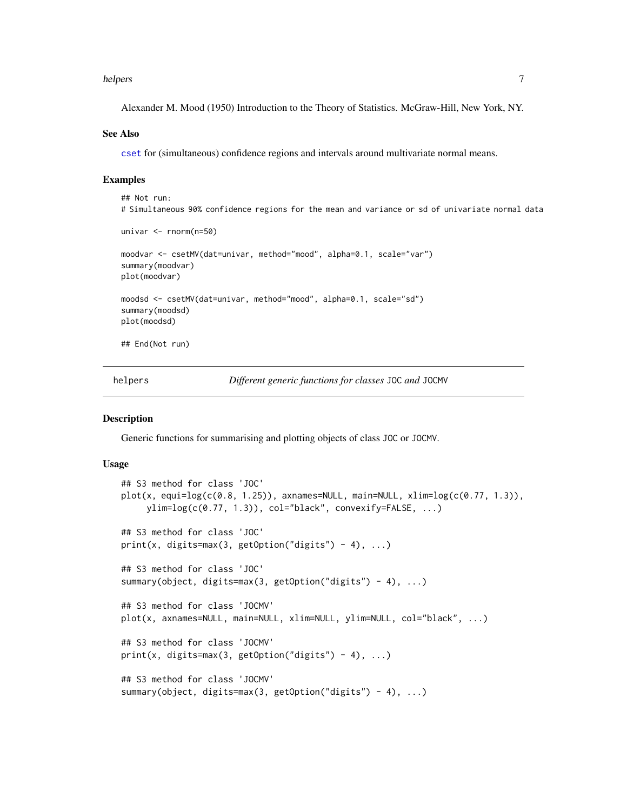#### <span id="page-6-0"></span>helpers  $\sim$  7

Alexander M. Mood (1950) Introduction to the Theory of Statistics. McGraw-Hill, New York, NY.

#### See Also

[cset](#page-2-1) for (simultaneous) confidence regions and intervals around multivariate normal means.

#### Examples

## Not run: # Simultaneous 90% confidence regions for the mean and variance or sd of univariate normal data

```
moodvar <- csetMV(dat=univar, method="mood", alpha=0.1, scale="var")
```

```
summary(moodvar)
plot(moodvar)
```

```
moodsd <- csetMV(dat=univar, method="mood", alpha=0.1, scale="sd")
summary(moodsd)
plot(moodsd)
```
## End(Not run)

univar <- rnorm(n=50)

helpers *Different generic functions for classes* JOC *and* JOCMV

#### Description

Generic functions for summarising and plotting objects of class JOC or JOCMV.

#### Usage

```
## S3 method for class 'JOC'
plot(x, equi=log(c(0.8, 1.25)), axnames=NULL, main=NULL, xlim=log(c(0.77, 1.3)),
     ylim=log(c(0.77, 1.3)), col="black", convexify=FALSE, ...)
## S3 method for class 'JOC'
print(x, \text{ digits} = max(3, \text{ getOption("digits") - 4), ...)## S3 method for class 'JOC'
summary(object, digits=max(3, getOption("digits") - 4), ...)
## S3 method for class 'JOCMV'
plot(x, axnames=NULL, main=NULL, xlim=NULL, ylim=NULL, col="black", ...)
## S3 method for class 'JOCMV'
print(x, \text{ digits} = max(3, \text{ getOption("digits") - 4), ...)## S3 method for class 'JOCMV'
summary(object, digits=max(3, getOption("digits") - 4), ...)
```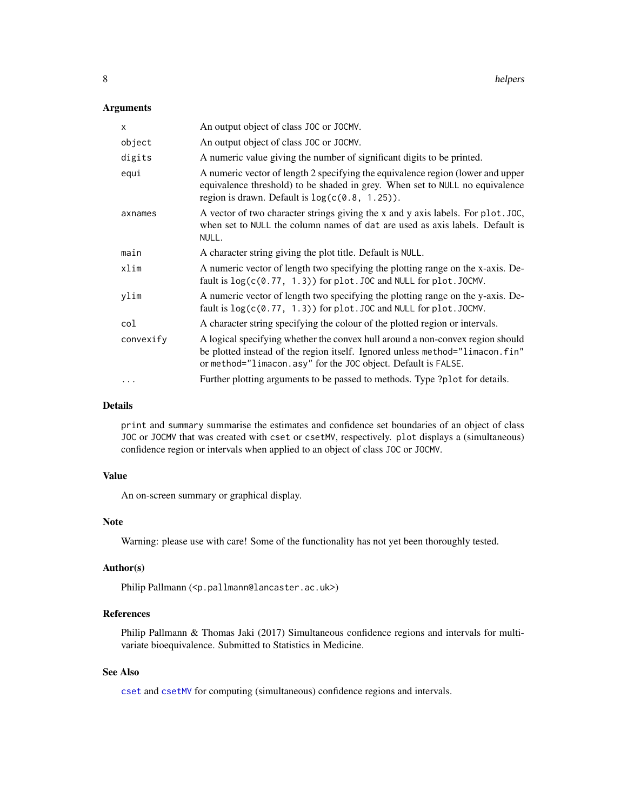#### <span id="page-7-0"></span>Arguments

| X         | An output object of class JOC or JOCMV.                                                                                                                                                                                         |
|-----------|---------------------------------------------------------------------------------------------------------------------------------------------------------------------------------------------------------------------------------|
| object    | An output object of class JOC or JOCMV.                                                                                                                                                                                         |
| digits    | A numeric value giving the number of significant digits to be printed.                                                                                                                                                          |
| equi      | A numeric vector of length 2 specifying the equivalence region (lower and upper<br>equivalence threshold) to be shaded in grey. When set to NULL no equivalence<br>region is drawn. Default is $log(c(0.8, 1.25))$ .            |
| axnames   | A vector of two character strings giving the x and y axis labels. For plot. JOC,<br>when set to NULL the column names of dat are used as axis labels. Default is<br>NULL.                                                       |
| main      | A character string giving the plot title. Default is NULL.                                                                                                                                                                      |
| xlim      | A numeric vector of length two specifying the plotting range on the x-axis. De-<br>fault is log(c(0.77, 1.3)) for plot. JOC and NULL for plot. JOCMV.                                                                           |
| ylim      | A numeric vector of length two specifying the plotting range on the y-axis. De-<br>fault is $log(c(0.77, 1.3))$ for plot. JOC and NULL for plot. JOCMV.                                                                         |
| col       | A character string specifying the colour of the plotted region or intervals.                                                                                                                                                    |
| convexify | A logical specifying whether the convex hull around a non-convex region should<br>be plotted instead of the region itself. Ignored unless method="limacon.fin"<br>or method="limacon.asy" for the JOC object. Default is FALSE. |
| .         | Further plotting arguments to be passed to methods. Type ?plot for details.                                                                                                                                                     |

#### Details

print and summary summarise the estimates and confidence set boundaries of an object of class JOC or JOCMV that was created with cset or csetMV, respectively. plot displays a (simultaneous) confidence region or intervals when applied to an object of class JOC or JOCMV.

#### Value

An on-screen summary or graphical display.

#### Note

Warning: please use with care! Some of the functionality has not yet been thoroughly tested.

#### Author(s)

Philip Pallmann (<p.pallmann@lancaster.ac.uk>)

#### References

Philip Pallmann & Thomas Jaki (2017) Simultaneous confidence regions and intervals for multivariate bioequivalence. Submitted to Statistics in Medicine.

#### See Also

[cset](#page-2-1) and [csetMV](#page-4-1) for computing (simultaneous) confidence regions and intervals.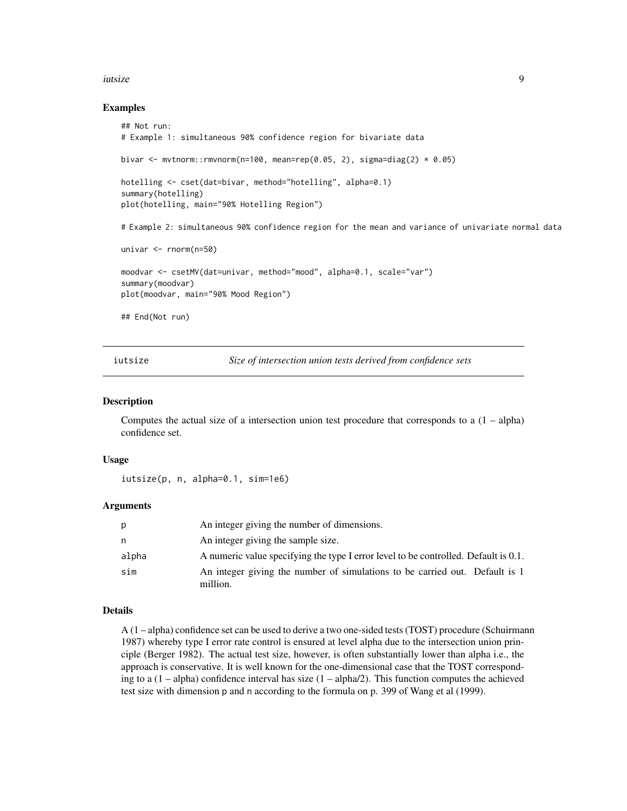#### <span id="page-8-0"></span>iutsize **9**9

#### Examples

```
## Not run:
# Example 1: simultaneous 90% confidence region for bivariate data
bivar <- mvtnorm::rmvnorm(n=100, mean=rep(0.05, 2), sigma=diag(2) * 0.05)
hotelling <- cset(dat=bivar, method="hotelling", alpha=0.1)
summary(hotelling)
plot(hotelling, main="90% Hotelling Region")
# Example 2: simultaneous 90% confidence region for the mean and variance of univariate normal data
univar <- rnorm(n=50)
moodvar <- csetMV(dat=univar, method="mood", alpha=0.1, scale="var")
summary(moodvar)
plot(moodvar, main="90% Mood Region")
## End(Not run)
```
iutsize *Size of intersection union tests derived from confidence sets*

#### Description

Computes the actual size of a intersection union test procedure that corresponds to a  $(1 - \text{alpha})$ confidence set.

#### Usage

```
iutsize(p, n, alpha=0.1, sim=1e6)
```
#### Arguments

| р     | An integer giving the number of dimensions.                                             |
|-------|-----------------------------------------------------------------------------------------|
| n     | An integer giving the sample size.                                                      |
| alpha | A numeric value specifying the type I error level to be controlled. Default is 0.1.     |
| sim   | An integer giving the number of simulations to be carried out. Default is 1<br>million. |

#### Details

A (1 – alpha) confidence set can be used to derive a two one-sided tests (TOST) procedure (Schuirmann 1987) whereby type I error rate control is ensured at level alpha due to the intersection union principle (Berger 1982). The actual test size, however, is often substantially lower than alpha i.e., the approach is conservative. It is well known for the one-dimensional case that the TOST corresponding to a  $(1 - \alpha)$  confidence interval has size  $(1 - \alpha)$  alpha $(2)$ . This function computes the achieved test size with dimension p and n according to the formula on p. 399 of Wang et al (1999).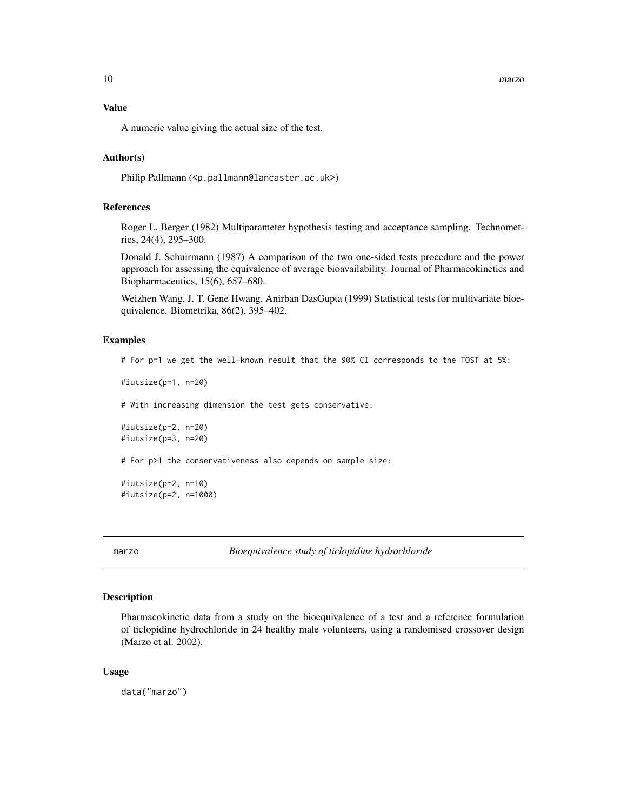<span id="page-9-0"></span>10 marzo no marzo na marzo na marzo na marzo na marzo na marzo na marzo na marzo na marzo na marzo na marzo na marzo na marzo na marzo na marzo na marzo na marzo na marzo na marzo na marzo na marzo na marzo na marzo na mar

#### Value

A numeric value giving the actual size of the test.

#### Author(s)

Philip Pallmann (<p.pallmann@lancaster.ac.uk>)

#### References

Roger L. Berger (1982) Multiparameter hypothesis testing and acceptance sampling. Technometrics, 24(4), 295–300.

Donald J. Schuirmann (1987) A comparison of the two one-sided tests procedure and the power approach for assessing the equivalence of average bioavailability. Journal of Pharmacokinetics and Biopharmaceutics, 15(6), 657–680.

Weizhen Wang, J. T. Gene Hwang, Anirban DasGupta (1999) Statistical tests for multivariate bioequivalence. Biometrika, 86(2), 395–402.

#### Examples

# For p=1 we get the well-known result that the 90% CI corresponds to the TOST at 5%:

```
#iutsize(p=1, n=20)
# With increasing dimension the test gets conservative:
#iutsize(p=2, n=20)
#iutsize(p=3, n=20)
# For p>1 the conservativeness also depends on sample size:
#iutsize(p=2, n=10)
#iutsize(p=2, n=1000)
```
marzo *Bioequivalence study of ticlopidine hydrochloride*

#### Description

Pharmacokinetic data from a study on the bioequivalence of a test and a reference formulation of ticlopidine hydrochloride in 24 healthy male volunteers, using a randomised crossover design (Marzo et al. 2002).

#### Usage

data("marzo")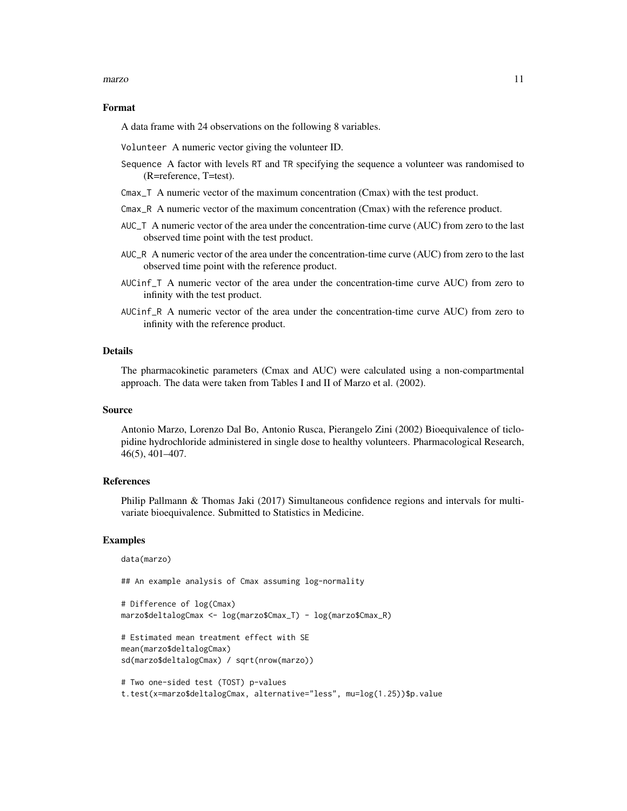#### marzo al 11 de anos en la contrada de la contrada de la contrada de la contrada de la contrada de la contrada de la contrada de la contrada de la contrada de la contrada de la contrada de la contrada de la contrada de la c

#### Format

A data frame with 24 observations on the following 8 variables.

Volunteer A numeric vector giving the volunteer ID.

- Sequence A factor with levels RT and TR specifying the sequence a volunteer was randomised to (R=reference, T=test).
- Cmax\_T A numeric vector of the maximum concentration (Cmax) with the test product.
- Cmax\_R A numeric vector of the maximum concentration (Cmax) with the reference product.
- AUC\_T A numeric vector of the area under the concentration-time curve (AUC) from zero to the last observed time point with the test product.
- AUC\_R A numeric vector of the area under the concentration-time curve (AUC) from zero to the last observed time point with the reference product.
- AUCinf\_T A numeric vector of the area under the concentration-time curve AUC) from zero to infinity with the test product.
- AUCinf\_R A numeric vector of the area under the concentration-time curve AUC) from zero to infinity with the reference product.

#### Details

The pharmacokinetic parameters (Cmax and AUC) were calculated using a non-compartmental approach. The data were taken from Tables I and II of Marzo et al. (2002).

#### Source

Antonio Marzo, Lorenzo Dal Bo, Antonio Rusca, Pierangelo Zini (2002) Bioequivalence of ticlopidine hydrochloride administered in single dose to healthy volunteers. Pharmacological Research, 46(5), 401–407.

#### References

Philip Pallmann & Thomas Jaki (2017) Simultaneous confidence regions and intervals for multivariate bioequivalence. Submitted to Statistics in Medicine.

#### Examples

```
data(marzo)
```
## An example analysis of Cmax assuming log-normality

```
# Difference of log(Cmax)
marzo$deltalogCmax <- log(marzo$Cmax_T) - log(marzo$Cmax_R)
```

```
# Estimated mean treatment effect with SE
mean(marzo$deltalogCmax)
sd(marzo$deltalogCmax) / sqrt(nrow(marzo))
```

```
# Two one-sided test (TOST) p-values
t.test(x=marzo$deltalogCmax, alternative="less", mu=log(1.25))$p.value
```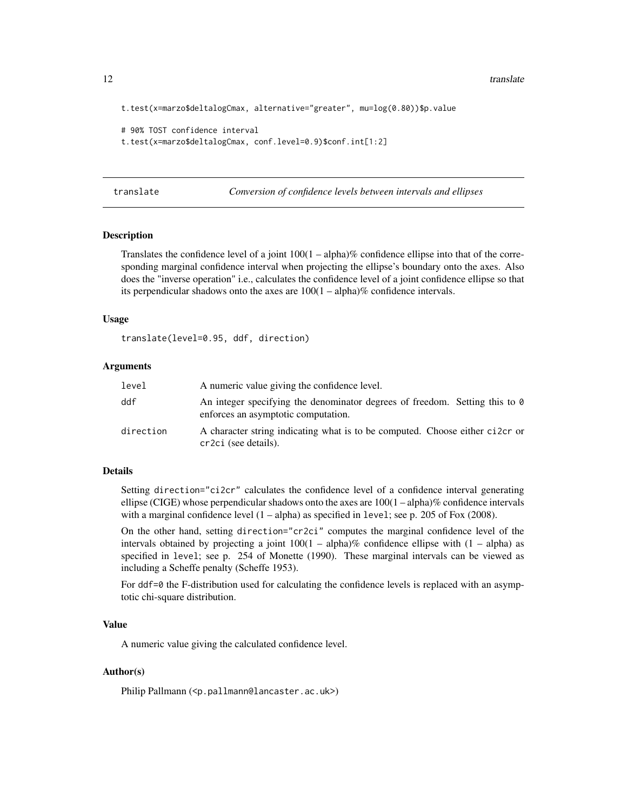<span id="page-11-0"></span>12 translate that the contract of the contract of the contract of the contract of the contract of the contract of the contract of the contract of the contract of the contract of the contract of the contract of the contract

```
t.test(x=marzo$deltalogCmax, alternative="greater", mu=log(0.80))$p.value
```

```
# 90% TOST confidence interval
```

```
t.test(x=marzo$deltalogCmax, conf.level=0.9)$conf.int[1:2]
```

| translate |  |  |  |  |  |  |  |  |  |
|-----------|--|--|--|--|--|--|--|--|--|
|-----------|--|--|--|--|--|--|--|--|--|

Conversion of confidence levels between intervals and ellipses

#### Description

Translates the confidence level of a joint  $100(1 - \text{alpha})\%$  confidence ellipse into that of the corresponding marginal confidence interval when projecting the ellipse's boundary onto the axes. Also does the "inverse operation" i.e., calculates the confidence level of a joint confidence ellipse so that its perpendicular shadows onto the axes are  $100(1 - \text{alpha})\%$  confidence intervals.

#### Usage

translate(level=0.95, ddf, direction)

#### Arguments

| level     | A numeric value giving the confidence level.                                                                       |
|-----------|--------------------------------------------------------------------------------------------------------------------|
| ddf       | An integer specifying the denominator degrees of freedom. Setting this to 0<br>enforces an asymptotic computation. |
| direction | A character string indicating what is to be computed. Choose either ci2cr or<br>cr2ci (see details).               |

#### Details

Setting direction="ci2cr" calculates the confidence level of a confidence interval generating ellipse (CIGE) whose perpendicular shadows onto the axes are  $100(1 - \text{alpha})\%$  confidence intervals with a marginal confidence level  $(1 - \alpha)$  as specified in level; see p. 205 of Fox (2008).

On the other hand, setting direction="cr2ci" computes the marginal confidence level of the intervals obtained by projecting a joint  $100(1 - \text{alpha})\%$  confidence ellipse with  $(1 - \text{alpha})$  as specified in level; see p. 254 of Monette (1990). These marginal intervals can be viewed as including a Scheffe penalty (Scheffe 1953).

For ddf=0 the F-distribution used for calculating the confidence levels is replaced with an asymptotic chi-square distribution.

#### Value

A numeric value giving the calculated confidence level.

#### Author(s)

Philip Pallmann (<p.pallmann@lancaster.ac.uk>)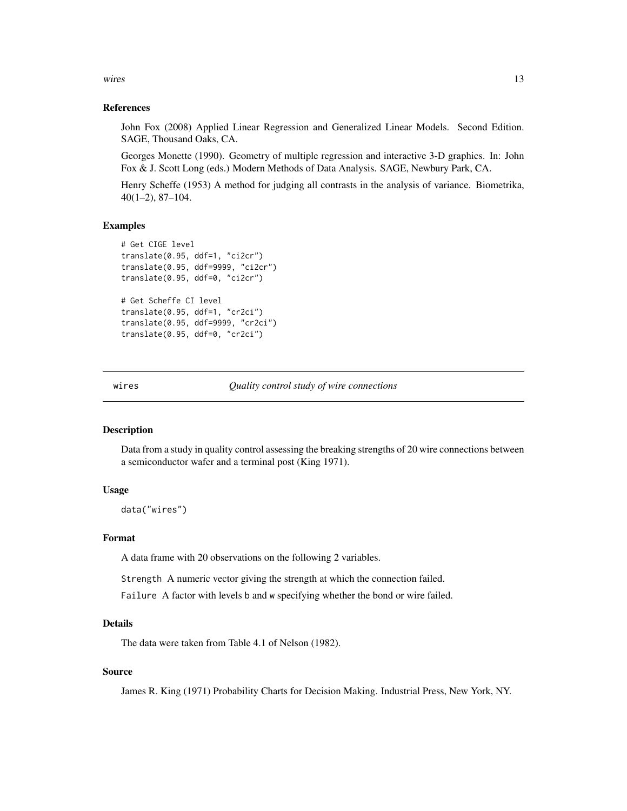<span id="page-12-0"></span>wires and the set of the set of the set of the set of the set of the set of the set of the set of the set of the set of the set of the set of the set of the set of the set of the set of the set of the set of the set of the

#### References

John Fox (2008) Applied Linear Regression and Generalized Linear Models. Second Edition. SAGE, Thousand Oaks, CA.

Georges Monette (1990). Geometry of multiple regression and interactive 3-D graphics. In: John Fox & J. Scott Long (eds.) Modern Methods of Data Analysis. SAGE, Newbury Park, CA.

Henry Scheffe (1953) A method for judging all contrasts in the analysis of variance. Biometrika, 40(1–2), 87–104.

#### Examples

```
# Get CIGE level
translate(0.95, ddf=1, "ci2cr")
translate(0.95, ddf=9999, "ci2cr")
translate(0.95, ddf=0, "ci2cr")
# Get Scheffe CI level
translate(0.95, ddf=1, "cr2ci")
translate(0.95, ddf=9999, "cr2ci")
translate(0.95, ddf=0, "cr2ci")
```
wires *Quality control study of wire connections*

#### **Description**

Data from a study in quality control assessing the breaking strengths of 20 wire connections between a semiconductor wafer and a terminal post (King 1971).

#### Usage

data("wires")

#### Format

A data frame with 20 observations on the following 2 variables.

Strength A numeric vector giving the strength at which the connection failed.

Failure A factor with levels b and w specifying whether the bond or wire failed.

#### Details

The data were taken from Table 4.1 of Nelson (1982).

#### Source

James R. King (1971) Probability Charts for Decision Making. Industrial Press, New York, NY.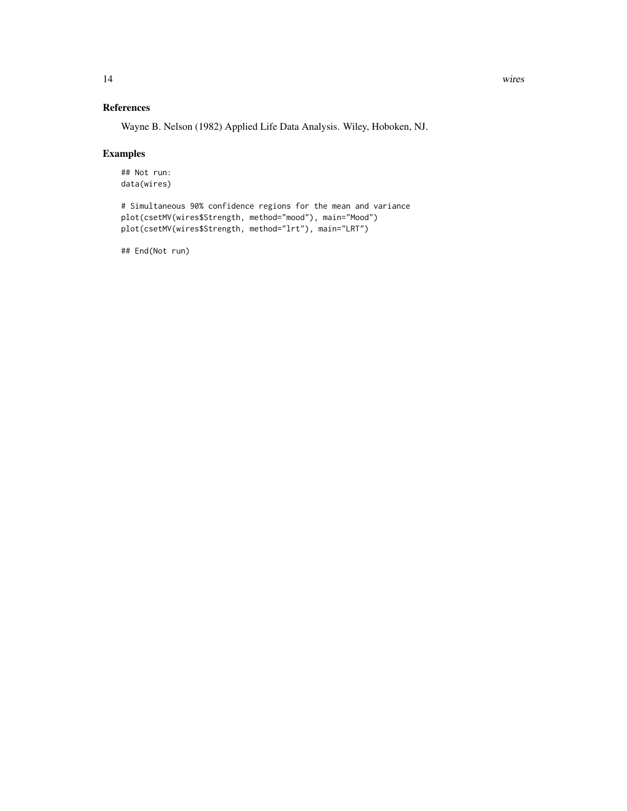#### References

Wayne B. Nelson (1982) Applied Life Data Analysis. Wiley, Hoboken, NJ.

#### Examples

## Not run: data(wires)

# Simultaneous 90% confidence regions for the mean and variance plot(csetMV(wires\$Strength, method="mood"), main="Mood") plot(csetMV(wires\$Strength, method="lrt"), main="LRT")

## End(Not run)